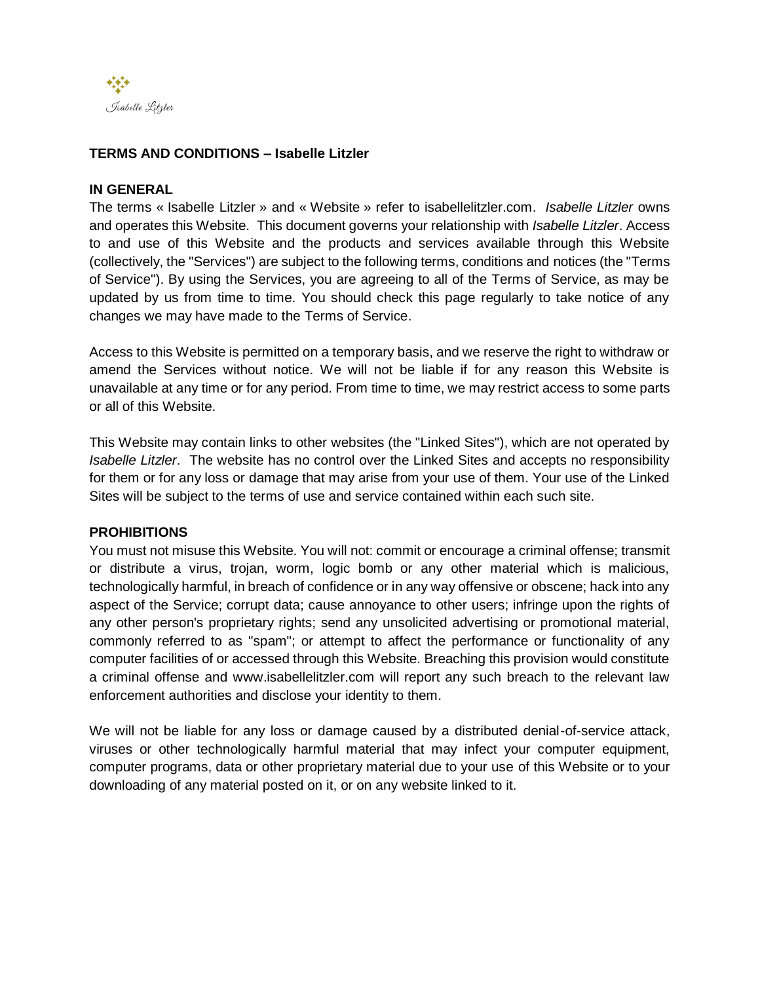

## **TERMS AND CONDITIONS – Isabelle Litzler**

### **IN GENERAL**

The terms « Isabelle Litzler » and « Website » refer to isabellelitzler.com. *Isabelle Litzler* owns and operates this Website. This document governs your relationship with *Isabelle Litzler*. Access to and use of this Website and the products and services available through this Website (collectively, the "Services") are subject to the following terms, conditions and notices (the "Terms of Service"). By using the Services, you are agreeing to all of the Terms of Service, as may be updated by us from time to time. You should check this page regularly to take notice of any changes we may have made to the Terms of Service.

Access to this Website is permitted on a temporary basis, and we reserve the right to withdraw or amend the Services without notice. We will not be liable if for any reason this Website is unavailable at any time or for any period. From time to time, we may restrict access to some parts or all of this Website.

This Website may contain links to other websites (the "Linked Sites"), which are not operated by *Isabelle Litzler*. The website has no control over the Linked Sites and accepts no responsibility for them or for any loss or damage that may arise from your use of them. Your use of the Linked Sites will be subject to the terms of use and service contained within each such site.

### **PROHIBITIONS**

You must not misuse this Website. You will not: commit or encourage a criminal offense; transmit or distribute a virus, trojan, worm, logic bomb or any other material which is malicious, technologically harmful, in breach of confidence or in any way offensive or obscene; hack into any aspect of the Service; corrupt data; cause annoyance to other users; infringe upon the rights of any other person's proprietary rights; send any unsolicited advertising or promotional material, commonly referred to as "spam"; or attempt to affect the performance or functionality of any computer facilities of or accessed through this Website. Breaching this provision would constitute a criminal offense and www.isabellelitzler.com will report any such breach to the relevant law enforcement authorities and disclose your identity to them.

We will not be liable for any loss or damage caused by a distributed denial-of-service attack, viruses or other technologically harmful material that may infect your computer equipment, computer programs, data or other proprietary material due to your use of this Website or to your downloading of any material posted on it, or on any website linked to it.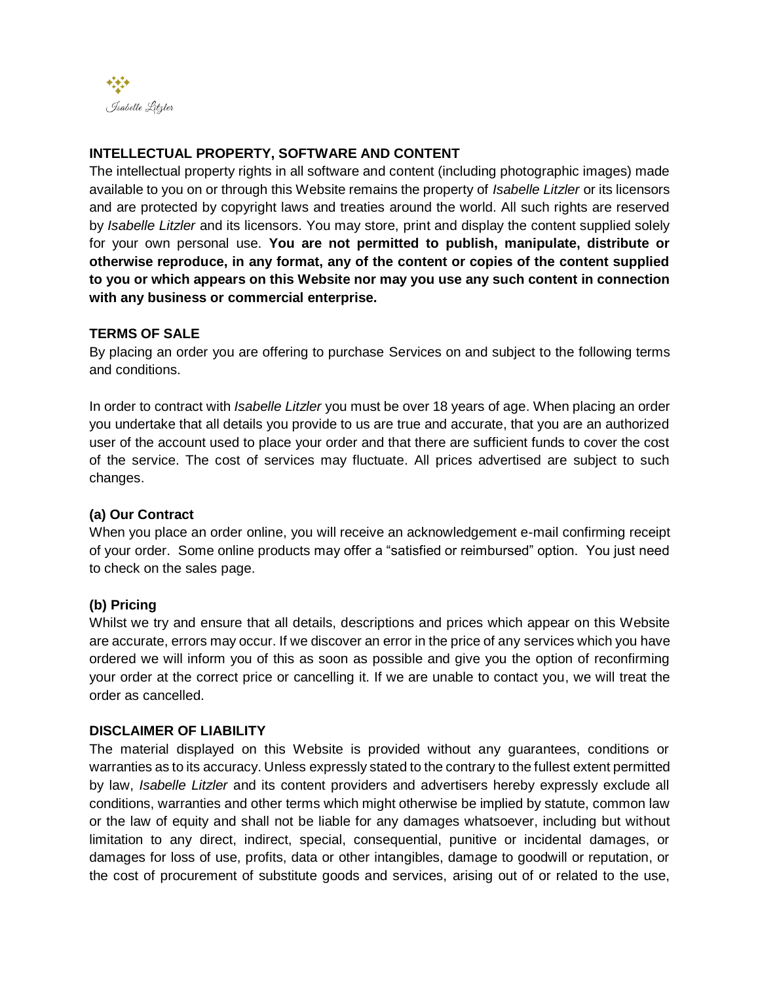

# **INTELLECTUAL PROPERTY, SOFTWARE AND CONTENT**

The intellectual property rights in all software and content (including photographic images) made available to you on or through this Website remains the property of *Isabelle Litzler* or its licensors and are protected by copyright laws and treaties around the world. All such rights are reserved by *Isabelle Litzler* and its licensors. You may store, print and display the content supplied solely for your own personal use. **You are not permitted to publish, manipulate, distribute or otherwise reproduce, in any format, any of the content or copies of the content supplied to you or which appears on this Website nor may you use any such content in connection with any business or commercial enterprise.**

# **TERMS OF SALE**

By placing an order you are offering to purchase Services on and subject to the following terms and conditions.

In order to contract with *Isabelle Litzler* you must be over 18 years of age. When placing an order you undertake that all details you provide to us are true and accurate, that you are an authorized user of the account used to place your order and that there are sufficient funds to cover the cost of the service. The cost of services may fluctuate. All prices advertised are subject to such changes.

# **(a) Our Contract**

When you place an order online, you will receive an acknowledgement e-mail confirming receipt of your order. Some online products may offer a "satisfied or reimbursed" option. You just need to check on the sales page.

# **(b) Pricing**

Whilst we try and ensure that all details, descriptions and prices which appear on this Website are accurate, errors may occur. If we discover an error in the price of any services which you have ordered we will inform you of this as soon as possible and give you the option of reconfirming your order at the correct price or cancelling it. If we are unable to contact you, we will treat the order as cancelled.

## **DISCLAIMER OF LIABILITY**

The material displayed on this Website is provided without any guarantees, conditions or warranties as to its accuracy. Unless expressly stated to the contrary to the fullest extent permitted by law, *Isabelle Litzler* and its content providers and advertisers hereby expressly exclude all conditions, warranties and other terms which might otherwise be implied by statute, common law or the law of equity and shall not be liable for any damages whatsoever, including but without limitation to any direct, indirect, special, consequential, punitive or incidental damages, or damages for loss of use, profits, data or other intangibles, damage to goodwill or reputation, or the cost of procurement of substitute goods and services, arising out of or related to the use,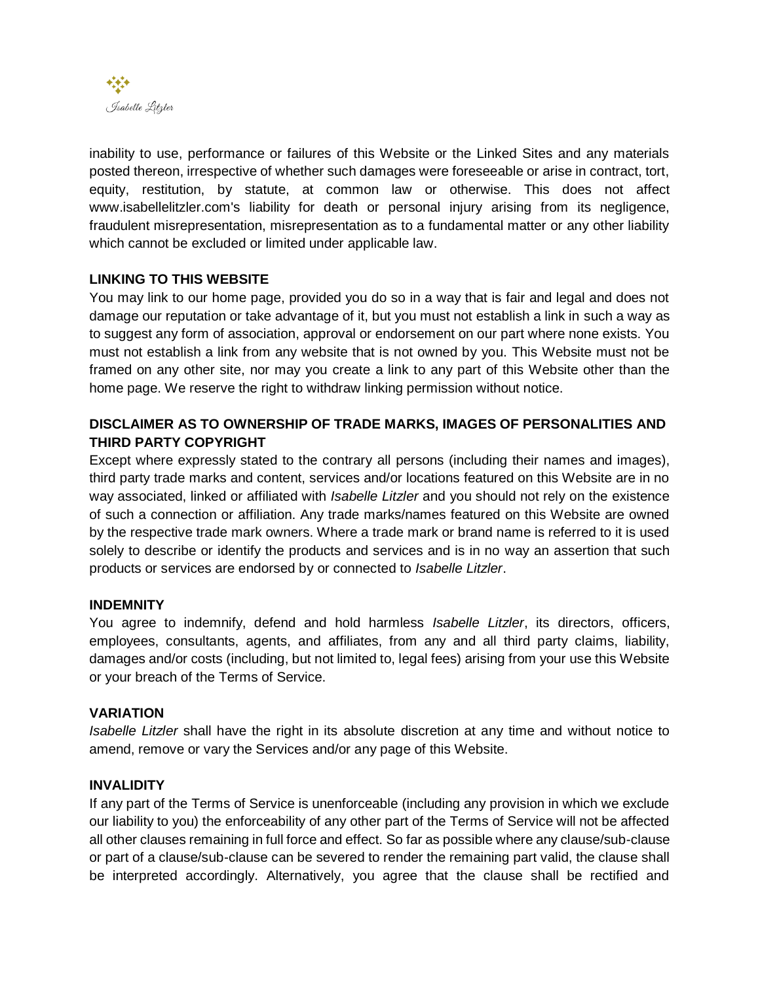

inability to use, performance or failures of this Website or the Linked Sites and any materials posted thereon, irrespective of whether such damages were foreseeable or arise in contract, tort, equity, restitution, by statute, at common law or otherwise. This does not affect www.isabellelitzler.com's liability for death or personal injury arising from its negligence, fraudulent misrepresentation, misrepresentation as to a fundamental matter or any other liability which cannot be excluded or limited under applicable law.

# **LINKING TO THIS WEBSITE**

You may link to our home page, provided you do so in a way that is fair and legal and does not damage our reputation or take advantage of it, but you must not establish a link in such a way as to suggest any form of association, approval or endorsement on our part where none exists. You must not establish a link from any website that is not owned by you. This Website must not be framed on any other site, nor may you create a link to any part of this Website other than the home page. We reserve the right to withdraw linking permission without notice.

# **DISCLAIMER AS TO OWNERSHIP OF TRADE MARKS, IMAGES OF PERSONALITIES AND THIRD PARTY COPYRIGHT**

Except where expressly stated to the contrary all persons (including their names and images), third party trade marks and content, services and/or locations featured on this Website are in no way associated, linked or affiliated with *Isabelle Litzler* and you should not rely on the existence of such a connection or affiliation. Any trade marks/names featured on this Website are owned by the respective trade mark owners. Where a trade mark or brand name is referred to it is used solely to describe or identify the products and services and is in no way an assertion that such products or services are endorsed by or connected to *Isabelle Litzler*.

# **INDEMNITY**

You agree to indemnify, defend and hold harmless *Isabelle Litzler*, its directors, officers, employees, consultants, agents, and affiliates, from any and all third party claims, liability, damages and/or costs (including, but not limited to, legal fees) arising from your use this Website or your breach of the Terms of Service.

### **VARIATION**

*Isabelle Litzler* shall have the right in its absolute discretion at any time and without notice to amend, remove or vary the Services and/or any page of this Website.

### **INVALIDITY**

If any part of the Terms of Service is unenforceable (including any provision in which we exclude our liability to you) the enforceability of any other part of the Terms of Service will not be affected all other clauses remaining in full force and effect. So far as possible where any clause/sub-clause or part of a clause/sub-clause can be severed to render the remaining part valid, the clause shall be interpreted accordingly. Alternatively, you agree that the clause shall be rectified and